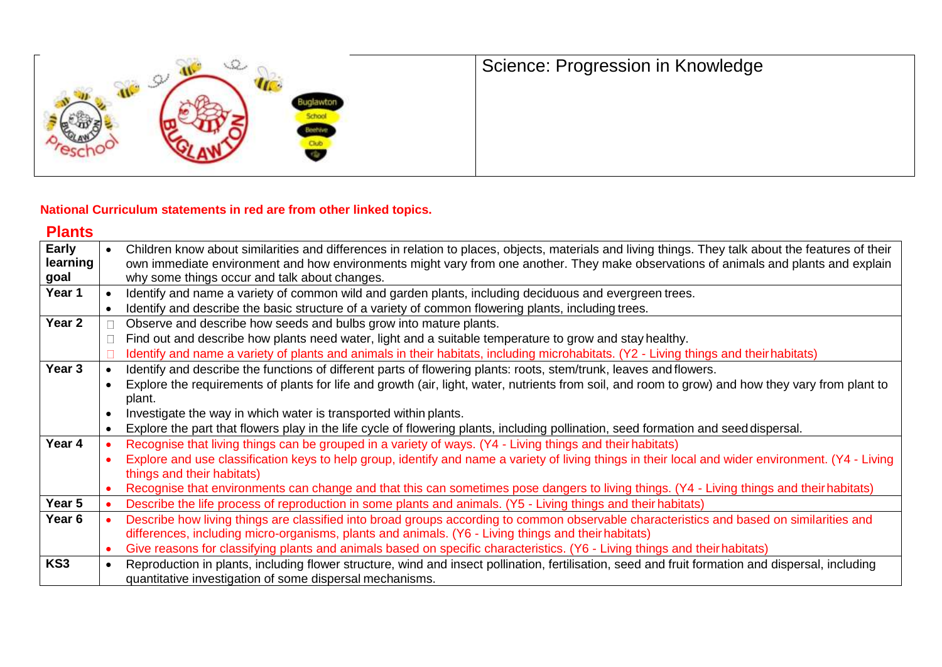

Science: Progression in Knowledge

#### **National Curriculum statements in red are from other linked topics.**

#### **Plants**

| <b>Early</b>      |           | Children know about similarities and differences in relation to places, objects, materials and living things. They talk about the features of their |
|-------------------|-----------|-----------------------------------------------------------------------------------------------------------------------------------------------------|
| learning          |           | own immediate environment and how environments might vary from one another. They make observations of animals and plants and explain                |
| goal              |           | why some things occur and talk about changes.                                                                                                       |
| Year 1            |           | Identify and name a variety of common wild and garden plants, including deciduous and evergreen trees.                                              |
|                   | $\bullet$ | Identify and describe the basic structure of a variety of common flowering plants, including trees.                                                 |
| Year 2            |           | Observe and describe how seeds and bulbs grow into mature plants.                                                                                   |
|                   |           | Find out and describe how plants need water, light and a suitable temperature to grow and stay healthy.                                             |
|                   |           | Identify and name a variety of plants and animals in their habitats, including microhabitats. (Y2 - Living things and their habitats)               |
| Year 3            |           | Identify and describe the functions of different parts of flowering plants: roots, stem/trunk, leaves and flowers.                                  |
|                   |           | Explore the requirements of plants for life and growth (air, light, water, nutrients from soil, and room to grow) and how they vary from plant to   |
|                   |           | plant.                                                                                                                                              |
|                   |           | Investigate the way in which water is transported within plants.                                                                                    |
|                   | $\bullet$ | Explore the part that flowers play in the life cycle of flowering plants, including pollination, seed formation and seed dispersal.                 |
| Year 4            |           | Recognise that living things can be grouped in a variety of ways. (Y4 - Living things and their habitats)                                           |
|                   |           | Explore and use classification keys to help group, identify and name a variety of living things in their local and wider environment. (Y4 - Living  |
|                   |           | things and their habitats)                                                                                                                          |
|                   |           | Recognise that environments can change and that this can sometimes pose dangers to living things. (Y4 - Living things and their habitats)           |
| Year 5            |           | Describe the life process of reproduction in some plants and animals. (Y5 - Living things and their habitats)                                       |
| Year <sub>6</sub> |           | Describe how living things are classified into broad groups according to common observable characteristics and based on similarities and            |
|                   |           | differences, including micro-organisms, plants and animals. (Y6 - Living things and their habitats)                                                 |
|                   |           | Give reasons for classifying plants and animals based on specific characteristics. (Y6 - Living things and their habitats)                          |
| KS3               |           | Reproduction in plants, including flower structure, wind and insect pollination, fertilisation, seed and fruit formation and dispersal, including   |
|                   |           | quantitative investigation of some dispersal mechanisms.                                                                                            |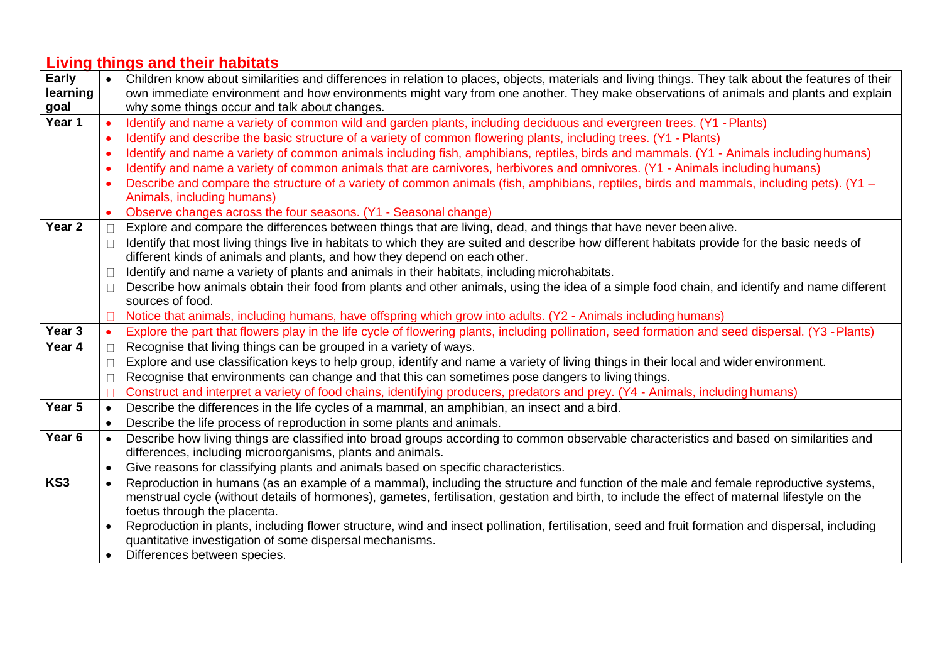# **Living things and their habitats**

| Early             | $\bullet$ | Children know about similarities and differences in relation to places, objects, materials and living things. They talk about the features of their |
|-------------------|-----------|-----------------------------------------------------------------------------------------------------------------------------------------------------|
| learning          |           | own immediate environment and how environments might vary from one another. They make observations of animals and plants and explain                |
| goal              |           | why some things occur and talk about changes.                                                                                                       |
| Year 1            |           | Identify and name a variety of common wild and garden plants, including deciduous and evergreen trees. (Y1 - Plants)                                |
|                   |           | Identify and describe the basic structure of a variety of common flowering plants, including trees. (Y1 - Plants)                                   |
|                   |           | Identify and name a variety of common animals including fish, amphibians, reptiles, birds and mammals. (Y1 - Animals including humans)              |
|                   |           | Identify and name a variety of common animals that are carnivores, herbivores and omnivores. (Y1 - Animals including humans)                        |
|                   |           | Describe and compare the structure of a variety of common animals (fish, amphibians, reptiles, birds and mammals, including pets). (Y1 –            |
|                   |           | Animals, including humans)                                                                                                                          |
|                   |           | Observe changes across the four seasons. (Y1 - Seasonal change)                                                                                     |
| Year <sub>2</sub> | П         | Explore and compare the differences between things that are living, dead, and things that have never been alive.                                    |
|                   | П         | Identify that most living things live in habitats to which they are suited and describe how different habitats provide for the basic needs of       |
|                   |           | different kinds of animals and plants, and how they depend on each other.                                                                           |
|                   | П         | Identify and name a variety of plants and animals in their habitats, including microhabitats.                                                       |
|                   | П         | Describe how animals obtain their food from plants and other animals, using the idea of a simple food chain, and identify and name different        |
|                   |           | sources of food.                                                                                                                                    |
|                   |           | Notice that animals, including humans, have offspring which grow into adults. (Y2 - Animals including humans)                                       |
| Year <sub>3</sub> | $\bullet$ | Explore the part that flowers play in the life cycle of flowering plants, including pollination, seed formation and seed dispersal. (Y3 - Plants)   |
| Year 4            |           | Recognise that living things can be grouped in a variety of ways.                                                                                   |
|                   | П         | Explore and use classification keys to help group, identify and name a variety of living things in their local and wider environment.               |
|                   | $\Box$    | Recognise that environments can change and that this can sometimes pose dangers to living things.                                                   |
|                   |           | Construct and interpret a variety of food chains, identifying producers, predators and prey. (Y4 - Animals, including humans)                       |
| Year 5            |           | Describe the differences in the life cycles of a mammal, an amphibian, an insect and a bird.                                                        |
|                   | $\bullet$ | Describe the life process of reproduction in some plants and animals.                                                                               |
| Year <sub>6</sub> |           | Describe how living things are classified into broad groups according to common observable characteristics and based on similarities and            |
|                   |           | differences, including microorganisms, plants and animals.                                                                                          |
|                   |           | Give reasons for classifying plants and animals based on specific characteristics.                                                                  |
| KS3               | $\bullet$ | Reproduction in humans (as an example of a mammal), including the structure and function of the male and female reproductive systems,               |
|                   |           | menstrual cycle (without details of hormones), gametes, fertilisation, gestation and birth, to include the effect of maternal lifestyle on the      |
|                   |           | foetus through the placenta.                                                                                                                        |
|                   |           | Reproduction in plants, including flower structure, wind and insect pollination, fertilisation, seed and fruit formation and dispersal, including   |
|                   |           | quantitative investigation of some dispersal mechanisms.                                                                                            |
|                   |           | Differences between species.                                                                                                                        |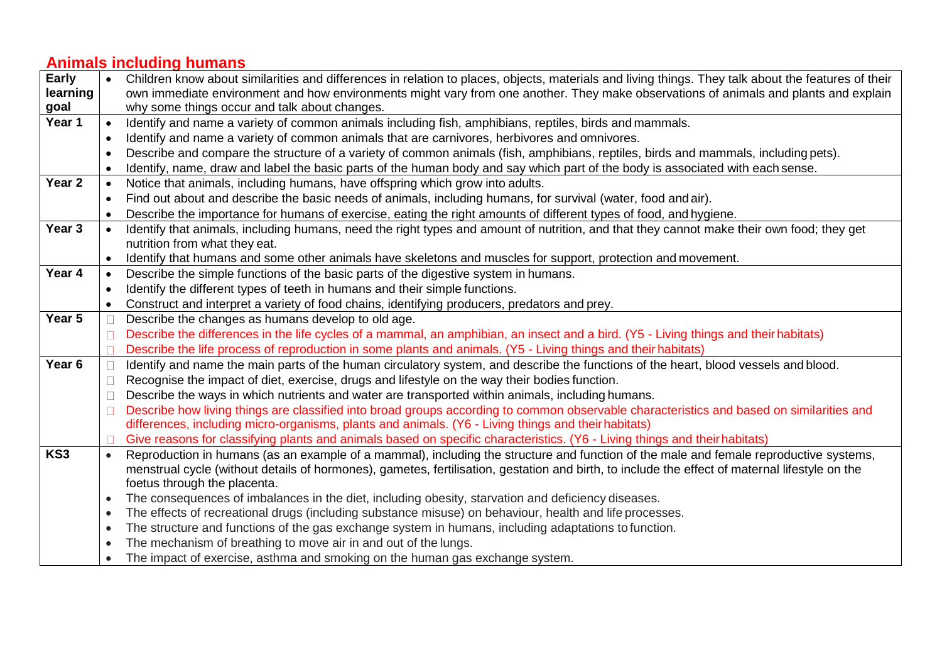## **Animals including humans**

| <b>Early</b>      | $\bullet$ | Children know about similarities and differences in relation to places, objects, materials and living things. They talk about the features of their |
|-------------------|-----------|-----------------------------------------------------------------------------------------------------------------------------------------------------|
| learning          |           | own immediate environment and how environments might vary from one another. They make observations of animals and plants and explain                |
| goal              |           | why some things occur and talk about changes.                                                                                                       |
| Year 1            | $\bullet$ | Identify and name a variety of common animals including fish, amphibians, reptiles, birds and mammals.                                              |
|                   |           | Identify and name a variety of common animals that are carnivores, herbivores and omnivores.                                                        |
|                   |           | Describe and compare the structure of a variety of common animals (fish, amphibians, reptiles, birds and mammals, including pets).                  |
|                   |           | Identify, name, draw and label the basic parts of the human body and say which part of the body is associated with each sense.                      |
| Year <sub>2</sub> | $\bullet$ | Notice that animals, including humans, have offspring which grow into adults.                                                                       |
|                   |           | Find out about and describe the basic needs of animals, including humans, for survival (water, food and air).                                       |
|                   |           | Describe the importance for humans of exercise, eating the right amounts of different types of food, and hygiene.                                   |
| Year <sub>3</sub> |           | Identify that animals, including humans, need the right types and amount of nutrition, and that they cannot make their own food; they get           |
|                   |           | nutrition from what they eat.                                                                                                                       |
|                   | $\bullet$ | Identify that humans and some other animals have skeletons and muscles for support, protection and movement.                                        |
| Year 4            | $\bullet$ | Describe the simple functions of the basic parts of the digestive system in humans.                                                                 |
|                   |           | Identify the different types of teeth in humans and their simple functions.                                                                         |
|                   |           | Construct and interpret a variety of food chains, identifying producers, predators and prey.                                                        |
| Year 5            |           | Describe the changes as humans develop to old age.                                                                                                  |
|                   | $\Box$    | Describe the differences in the life cycles of a mammal, an amphibian, an insect and a bird. (Y5 - Living things and their habitats)                |
|                   |           | Describe the life process of reproduction in some plants and animals. (Y5 - Living things and their habitats)                                       |
| Year <sub>6</sub> | П.        | Identify and name the main parts of the human circulatory system, and describe the functions of the heart, blood vessels and blood.                 |
|                   | $\Box$    | Recognise the impact of diet, exercise, drugs and lifestyle on the way their bodies function.                                                       |
|                   | $\Box$    | Describe the ways in which nutrients and water are transported within animals, including humans.                                                    |
|                   |           | Describe how living things are classified into broad groups according to common observable characteristics and based on similarities and            |
|                   |           | differences, including micro-organisms, plants and animals. (Y6 - Living things and their habitats)                                                 |
|                   |           | Give reasons for classifying plants and animals based on specific characteristics. (Y6 - Living things and their habitats)                          |
| KS3               | $\bullet$ | Reproduction in humans (as an example of a mammal), including the structure and function of the male and female reproductive systems,               |
|                   |           | menstrual cycle (without details of hormones), gametes, fertilisation, gestation and birth, to include the effect of maternal lifestyle on the      |
|                   |           | foetus through the placenta.                                                                                                                        |
|                   |           | The consequences of imbalances in the diet, including obesity, starvation and deficiency diseases.                                                  |
|                   |           | The effects of recreational drugs (including substance misuse) on behaviour, health and life processes.                                             |
|                   | $\bullet$ | The structure and functions of the gas exchange system in humans, including adaptations to function.                                                |
|                   |           | The mechanism of breathing to move air in and out of the lungs.                                                                                     |
|                   |           | The impact of exercise, asthma and smoking on the human gas exchange system.                                                                        |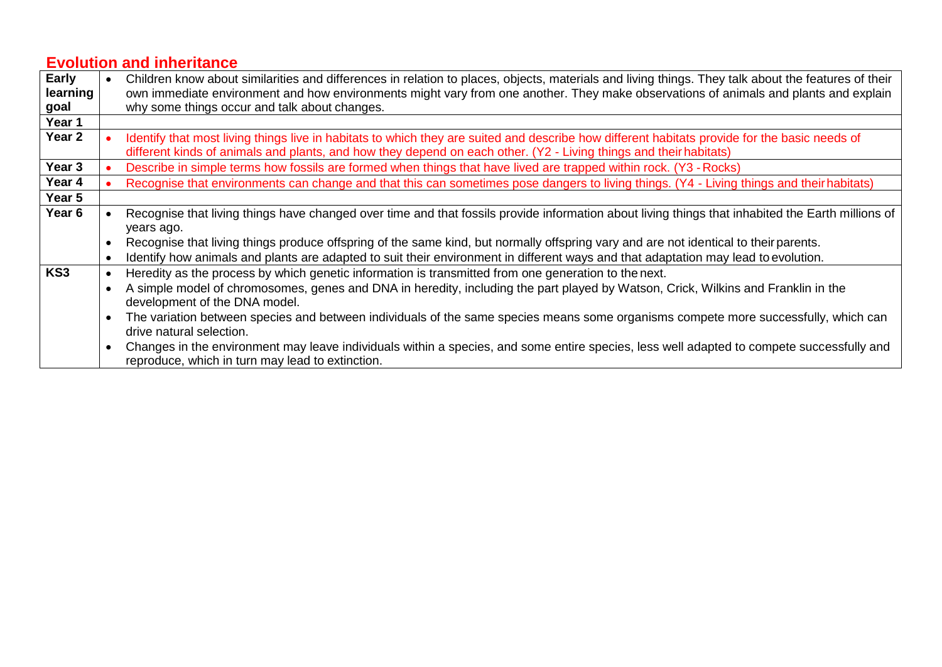### **Evolution and inheritance**

| <b>Early</b>      |           | Children know about similarities and differences in relation to places, objects, materials and living things. They talk about the features of their                                                                                                                |
|-------------------|-----------|--------------------------------------------------------------------------------------------------------------------------------------------------------------------------------------------------------------------------------------------------------------------|
| learning          |           | own immediate environment and how environments might vary from one another. They make observations of animals and plants and explain                                                                                                                               |
| goal              |           | why some things occur and talk about changes.                                                                                                                                                                                                                      |
| Year 1            |           |                                                                                                                                                                                                                                                                    |
| Year 2            |           | Identify that most living things live in habitats to which they are suited and describe how different habitats provide for the basic needs of<br>different kinds of animals and plants, and how they depend on each other. (Y2 - Living things and their habitats) |
| Year 3            |           | Describe in simple terms how fossils are formed when things that have lived are trapped within rock. (Y3 - Rocks)                                                                                                                                                  |
| Year 4            |           | Recognise that environments can change and that this can sometimes pose dangers to living things. (Y4 - Living things and their habitats)                                                                                                                          |
| Year 5            |           |                                                                                                                                                                                                                                                                    |
| Year <sub>6</sub> |           | Recognise that living things have changed over time and that fossils provide information about living things that inhabited the Earth millions of<br>years ago.                                                                                                    |
|                   |           | Recognise that living things produce offspring of the same kind, but normally offspring vary and are not identical to their parents.                                                                                                                               |
|                   | $\bullet$ | Identify how animals and plants are adapted to suit their environment in different ways and that adaptation may lead to evolution.                                                                                                                                 |
| KS <sub>3</sub>   |           | Heredity as the process by which genetic information is transmitted from one generation to the next.                                                                                                                                                               |
|                   |           | A simple model of chromosomes, genes and DNA in heredity, including the part played by Watson, Crick, Wilkins and Franklin in the<br>development of the DNA model.                                                                                                 |
|                   |           | The variation between species and between individuals of the same species means some organisms compete more successfully, which can<br>drive natural selection.                                                                                                    |
|                   |           | Changes in the environment may leave individuals within a species, and some entire species, less well adapted to compete successfully and<br>reproduce, which in turn may lead to extinction.                                                                      |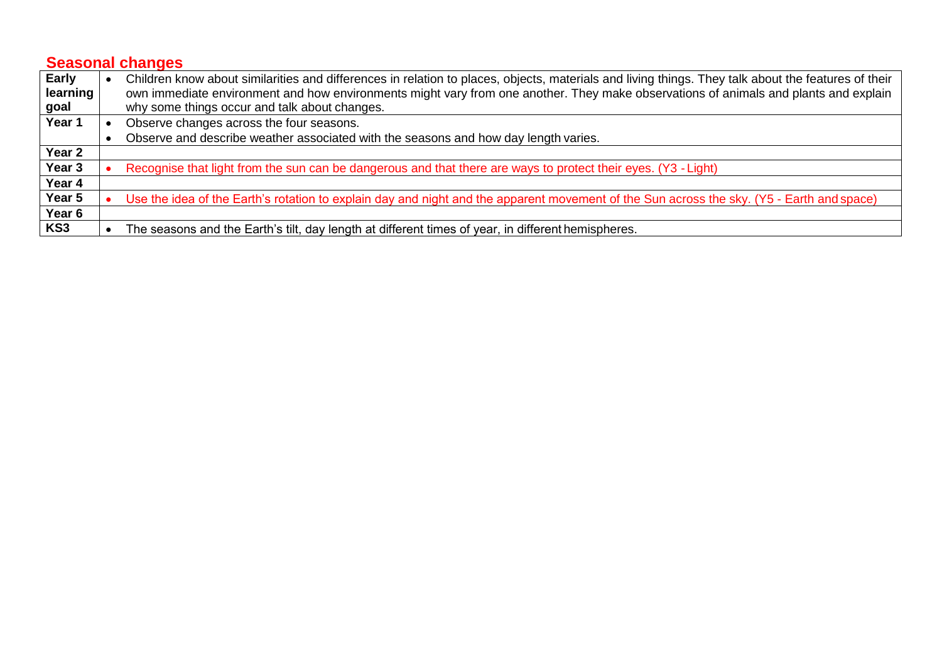|          | <b>Seasonal changes</b> |                                                                                                                                                     |  |
|----------|-------------------------|-----------------------------------------------------------------------------------------------------------------------------------------------------|--|
| Early    |                         | Children know about similarities and differences in relation to places, objects, materials and living things. They talk about the features of their |  |
| learning |                         | own immediate environment and how environments might vary from one another. They make observations of animals and plants and explain                |  |
| goal     |                         | why some things occur and talk about changes.                                                                                                       |  |
| Year 1   |                         | Observe changes across the four seasons.                                                                                                            |  |
|          |                         | Observe and describe weather associated with the seasons and how day length varies.                                                                 |  |
| Year 2   |                         |                                                                                                                                                     |  |
| Year 3   |                         | Recognise that light from the sun can be dangerous and that there are ways to protect their eyes. (Y3 - Light)                                      |  |
| Year 4   |                         |                                                                                                                                                     |  |
| Year 5   |                         | Use the idea of the Earth's rotation to explain day and night and the apparent movement of the Sun across the sky. (Y5 - Earth and space)           |  |
| Year 6   |                         |                                                                                                                                                     |  |
| KS3      |                         | The seasons and the Earth's tilt, day length at different times of year, in different hemispheres.                                                  |  |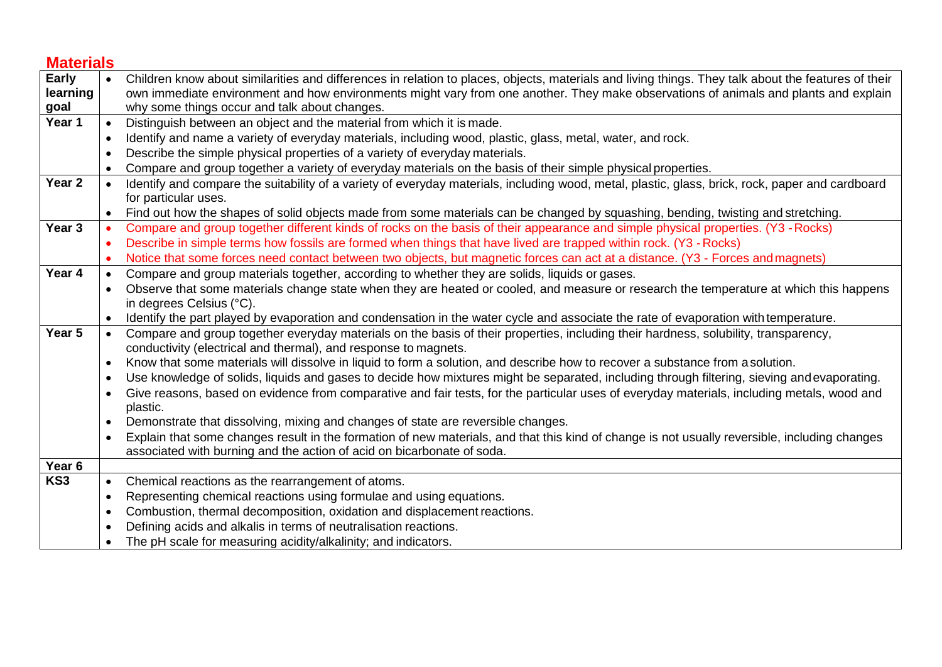| <b>Materials</b>  |           |                                                                                                                                                     |
|-------------------|-----------|-----------------------------------------------------------------------------------------------------------------------------------------------------|
| Early             | $\bullet$ | Children know about similarities and differences in relation to places, objects, materials and living things. They talk about the features of their |
| learning          |           | own immediate environment and how environments might vary from one another. They make observations of animals and plants and explain                |
| goal              |           | why some things occur and talk about changes.                                                                                                       |
| Year 1            | $\bullet$ | Distinguish between an object and the material from which it is made.                                                                               |
|                   | $\bullet$ | Identify and name a variety of everyday materials, including wood, plastic, glass, metal, water, and rock.                                          |
|                   |           | Describe the simple physical properties of a variety of everyday materials.                                                                         |
|                   |           | Compare and group together a variety of everyday materials on the basis of their simple physical properties.                                        |
| Year <sub>2</sub> | $\bullet$ | Identify and compare the suitability of a variety of everyday materials, including wood, metal, plastic, glass, brick, rock, paper and cardboard    |
|                   |           | for particular uses.                                                                                                                                |
|                   |           | Find out how the shapes of solid objects made from some materials can be changed by squashing, bending, twisting and stretching.                    |
| Year <sub>3</sub> |           | Compare and group together different kinds of rocks on the basis of their appearance and simple physical properties. (Y3 - Rocks)                   |
|                   |           | Describe in simple terms how fossils are formed when things that have lived are trapped within rock. (Y3 - Rocks)                                   |
|                   |           | Notice that some forces need contact between two objects, but magnetic forces can act at a distance. (Y3 - Forces and magnets)                      |
| Year 4            | $\bullet$ | Compare and group materials together, according to whether they are solids, liquids or gases.                                                       |
|                   |           | Observe that some materials change state when they are heated or cooled, and measure or research the temperature at which this happens              |
|                   |           | in degrees Celsius (°C).                                                                                                                            |
|                   | $\bullet$ | Identify the part played by evaporation and condensation in the water cycle and associate the rate of evaporation with temperature.                 |
| Year 5            |           | Compare and group together everyday materials on the basis of their properties, including their hardness, solubility, transparency,                 |
|                   |           | conductivity (electrical and thermal), and response to magnets.                                                                                     |
|                   | $\bullet$ | Know that some materials will dissolve in liquid to form a solution, and describe how to recover a substance from a solution.                       |
|                   |           | Use knowledge of solids, liquids and gases to decide how mixtures might be separated, including through filtering, sieving and evaporating.         |
|                   |           | Give reasons, based on evidence from comparative and fair tests, for the particular uses of everyday materials, including metals, wood and          |
|                   |           | plastic.                                                                                                                                            |
|                   |           | Demonstrate that dissolving, mixing and changes of state are reversible changes.                                                                    |
|                   | $\bullet$ | Explain that some changes result in the formation of new materials, and that this kind of change is not usually reversible, including changes       |
|                   |           | associated with burning and the action of acid on bicarbonate of soda.                                                                              |
| Year <sub>6</sub> |           |                                                                                                                                                     |
| KS3               | $\bullet$ | Chemical reactions as the rearrangement of atoms.                                                                                                   |
|                   | $\bullet$ | Representing chemical reactions using formulae and using equations.                                                                                 |
|                   | $\bullet$ | Combustion, thermal decomposition, oxidation and displacement reactions.                                                                            |
|                   |           | Defining acids and alkalis in terms of neutralisation reactions.                                                                                    |
|                   |           | The pH scale for measuring acidity/alkalinity; and indicators.                                                                                      |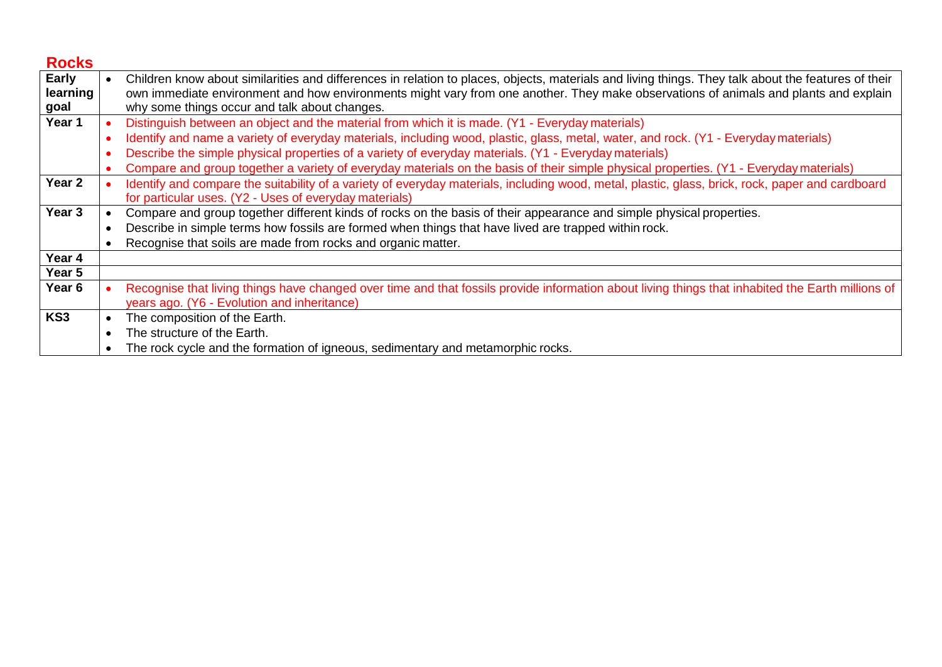| <b>Rocks</b>    |                                                                                                                                                     |
|-----------------|-----------------------------------------------------------------------------------------------------------------------------------------------------|
| <b>Early</b>    | Children know about similarities and differences in relation to places, objects, materials and living things. They talk about the features of their |
| learning        | own immediate environment and how environments might vary from one another. They make observations of animals and plants and explain                |
| goal            | why some things occur and talk about changes.                                                                                                       |
| Year 1          | Distinguish between an object and the material from which it is made. (Y1 - Everyday materials)                                                     |
|                 | Identify and name a variety of everyday materials, including wood, plastic, glass, metal, water, and rock. (Y1 - Everyday materials)                |
|                 | Describe the simple physical properties of a variety of everyday materials. (Y1 - Everyday materials)                                               |
|                 | Compare and group together a variety of everyday materials on the basis of their simple physical properties. (Y1 - Everyday materials)              |
| Year 2          | Identify and compare the suitability of a variety of everyday materials, including wood, metal, plastic, glass, brick, rock, paper and cardboard    |
|                 | for particular uses. (Y2 - Uses of everyday materials)                                                                                              |
| Year 3          | Compare and group together different kinds of rocks on the basis of their appearance and simple physical properties.                                |
|                 | Describe in simple terms how fossils are formed when things that have lived are trapped within rock.                                                |
|                 | Recognise that soils are made from rocks and organic matter.                                                                                        |
| Year 4          |                                                                                                                                                     |
| Year 5          |                                                                                                                                                     |
| Year 6          | Recognise that living things have changed over time and that fossils provide information about living things that inhabited the Earth millions of   |
|                 | years ago. (Y6 - Evolution and inheritance)                                                                                                         |
| KS <sub>3</sub> | The composition of the Earth.                                                                                                                       |
|                 | The structure of the Earth.                                                                                                                         |
|                 | The rock cycle and the formation of igneous, sedimentary and metamorphic rocks.                                                                     |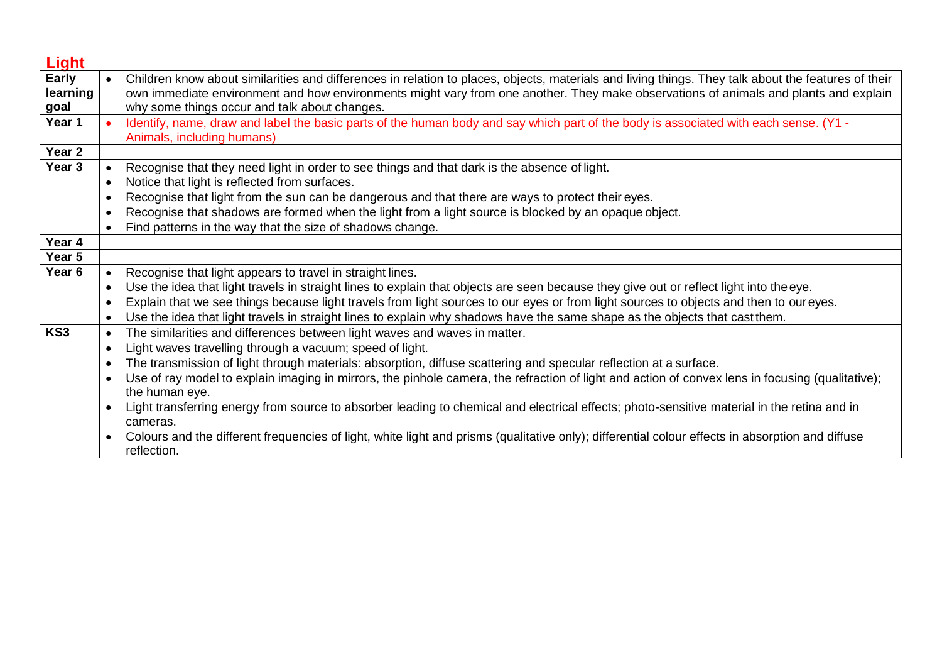| Light             |           |                                                                                                                                                     |
|-------------------|-----------|-----------------------------------------------------------------------------------------------------------------------------------------------------|
| Early             | $\bullet$ | Children know about similarities and differences in relation to places, objects, materials and living things. They talk about the features of their |
| learning          |           | own immediate environment and how environments might vary from one another. They make observations of animals and plants and explain                |
| goal              |           | why some things occur and talk about changes.                                                                                                       |
| Year 1            |           | Identify, name, draw and label the basic parts of the human body and say which part of the body is associated with each sense. (Y1 -                |
|                   |           | Animals, including humans)                                                                                                                          |
| Year 2            |           |                                                                                                                                                     |
| Year 3            |           | Recognise that they need light in order to see things and that dark is the absence of light.                                                        |
|                   | $\bullet$ | Notice that light is reflected from surfaces.                                                                                                       |
|                   |           | Recognise that light from the sun can be dangerous and that there are ways to protect their eyes.                                                   |
|                   |           | Recognise that shadows are formed when the light from a light source is blocked by an opaque object.                                                |
|                   |           | Find patterns in the way that the size of shadows change.                                                                                           |
| Year 4            |           |                                                                                                                                                     |
| Year 5            |           |                                                                                                                                                     |
| Year <sub>6</sub> | $\bullet$ | Recognise that light appears to travel in straight lines.                                                                                           |
|                   | $\bullet$ | Use the idea that light travels in straight lines to explain that objects are seen because they give out or reflect light into the eye.             |
|                   | $\bullet$ | Explain that we see things because light travels from light sources to our eyes or from light sources to objects and then to our eyes.              |
|                   | $\bullet$ | Use the idea that light travels in straight lines to explain why shadows have the same shape as the objects that cast them.                         |
| KS3               | $\bullet$ | The similarities and differences between light waves and waves in matter.                                                                           |
|                   | $\bullet$ | Light waves travelling through a vacuum; speed of light.                                                                                            |
|                   | $\bullet$ | The transmission of light through materials: absorption, diffuse scattering and specular reflection at a surface.                                   |
|                   | $\bullet$ | Use of ray model to explain imaging in mirrors, the pinhole camera, the refraction of light and action of convex lens in focusing (qualitative);    |
|                   |           | the human eye.                                                                                                                                      |
|                   |           | Light transferring energy from source to absorber leading to chemical and electrical effects; photo-sensitive material in the retina and in         |
|                   |           | cameras.                                                                                                                                            |
|                   | $\bullet$ | Colours and the different frequencies of light, white light and prisms (qualitative only); differential colour effects in absorption and diffuse    |
|                   |           | reflection.                                                                                                                                         |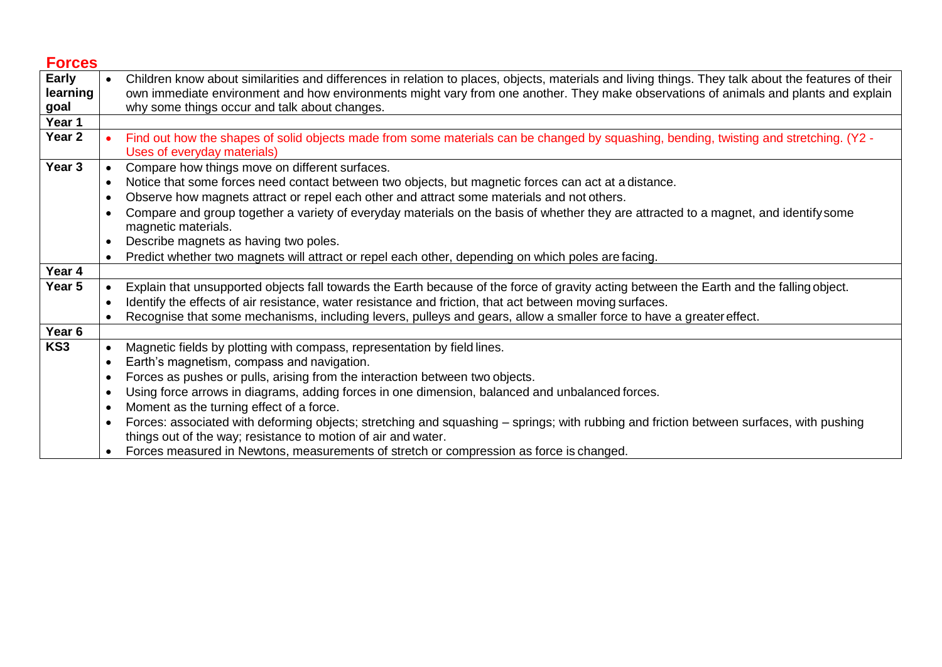| <b>Forces</b>     |           |                                                                                                                                                                                                          |
|-------------------|-----------|----------------------------------------------------------------------------------------------------------------------------------------------------------------------------------------------------------|
| Early             | $\bullet$ | Children know about similarities and differences in relation to places, objects, materials and living things. They talk about the features of their                                                      |
| learning          |           | own immediate environment and how environments might vary from one another. They make observations of animals and plants and explain                                                                     |
| goal              |           | why some things occur and talk about changes.                                                                                                                                                            |
| Year 1            |           |                                                                                                                                                                                                          |
| Year <sub>2</sub> |           | Find out how the shapes of solid objects made from some materials can be changed by squashing, bending, twisting and stretching. (Y2 -<br>Uses of everyday materials)                                    |
| Year <sub>3</sub> |           | Compare how things move on different surfaces.                                                                                                                                                           |
|                   | $\bullet$ | Notice that some forces need contact between two objects, but magnetic forces can act at a distance.                                                                                                     |
|                   |           | Observe how magnets attract or repel each other and attract some materials and not others.                                                                                                               |
|                   |           | Compare and group together a variety of everyday materials on the basis of whether they are attracted to a magnet, and identify some                                                                     |
|                   |           | magnetic materials.                                                                                                                                                                                      |
|                   | $\bullet$ | Describe magnets as having two poles.                                                                                                                                                                    |
|                   | $\bullet$ | Predict whether two magnets will attract or repel each other, depending on which poles are facing.                                                                                                       |
| Year 4            |           |                                                                                                                                                                                                          |
| Year 5            |           | Explain that unsupported objects fall towards the Earth because of the force of gravity acting between the Earth and the falling object.                                                                 |
|                   |           | Identify the effects of air resistance, water resistance and friction, that act between moving surfaces.                                                                                                 |
|                   |           | Recognise that some mechanisms, including levers, pulleys and gears, allow a smaller force to have a greater effect.                                                                                     |
| Year <sub>6</sub> |           |                                                                                                                                                                                                          |
| KS3               |           | Magnetic fields by plotting with compass, representation by field lines.                                                                                                                                 |
|                   |           | Earth's magnetism, compass and navigation.                                                                                                                                                               |
|                   |           | Forces as pushes or pulls, arising from the interaction between two objects.                                                                                                                             |
|                   |           | Using force arrows in diagrams, adding forces in one dimension, balanced and unbalanced forces.                                                                                                          |
|                   | $\bullet$ | Moment as the turning effect of a force.                                                                                                                                                                 |
|                   |           | Forces: associated with deforming objects; stretching and squashing – springs; with rubbing and friction between surfaces, with pushing<br>things out of the way; resistance to motion of air and water. |
|                   |           | Forces measured in Newtons, measurements of stretch or compression as force is changed.                                                                                                                  |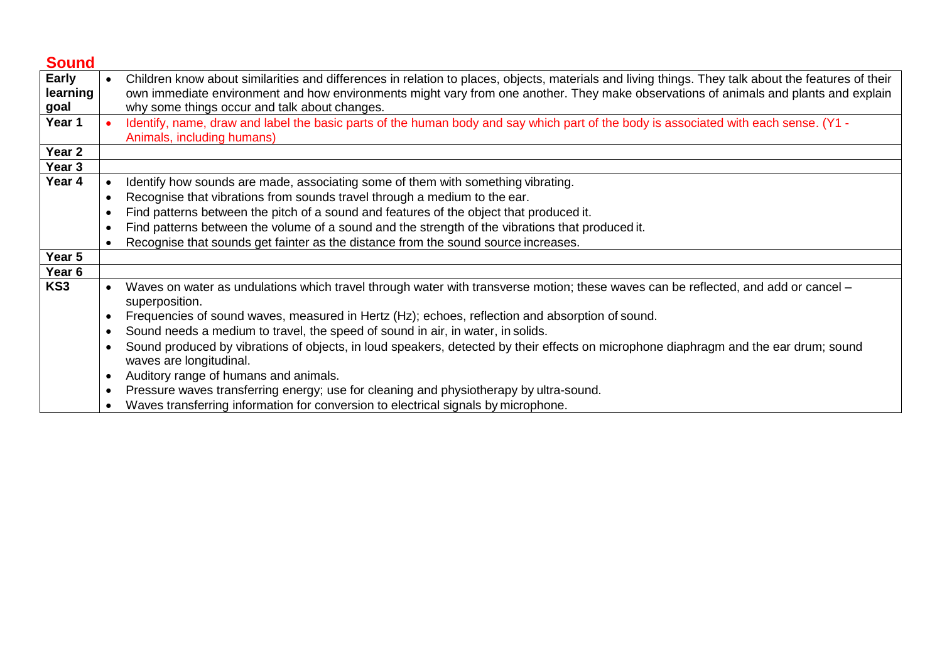| <b>Sound</b>              |           |                                                                                                                                                                                                                                                                                                                                              |
|---------------------------|-----------|----------------------------------------------------------------------------------------------------------------------------------------------------------------------------------------------------------------------------------------------------------------------------------------------------------------------------------------------|
| Early<br>learning<br>goal | $\bullet$ | Children know about similarities and differences in relation to places, objects, materials and living things. They talk about the features of their<br>own immediate environment and how environments might vary from one another. They make observations of animals and plants and explain<br>why some things occur and talk about changes. |
| Year 1                    |           | Identify, name, draw and label the basic parts of the human body and say which part of the body is associated with each sense. (Y1 -<br>Animals, including humans)                                                                                                                                                                           |
| Year <sub>2</sub>         |           |                                                                                                                                                                                                                                                                                                                                              |
| Year 3                    |           |                                                                                                                                                                                                                                                                                                                                              |
| Year 4                    |           | Identify how sounds are made, associating some of them with something vibrating.                                                                                                                                                                                                                                                             |
|                           |           | Recognise that vibrations from sounds travel through a medium to the ear.                                                                                                                                                                                                                                                                    |
|                           |           | Find patterns between the pitch of a sound and features of the object that produced it.                                                                                                                                                                                                                                                      |
|                           |           | Find patterns between the volume of a sound and the strength of the vibrations that produced it.                                                                                                                                                                                                                                             |
|                           |           | Recognise that sounds get fainter as the distance from the sound source increases.                                                                                                                                                                                                                                                           |
| Year 5                    |           |                                                                                                                                                                                                                                                                                                                                              |
| Year 6                    |           |                                                                                                                                                                                                                                                                                                                                              |
| KS3                       |           | Waves on water as undulations which travel through water with transverse motion; these waves can be reflected, and add or cancel -<br>superposition.                                                                                                                                                                                         |
|                           |           | Frequencies of sound waves, measured in Hertz (Hz); echoes, reflection and absorption of sound.                                                                                                                                                                                                                                              |
|                           |           | Sound needs a medium to travel, the speed of sound in air, in water, in solids.                                                                                                                                                                                                                                                              |
|                           |           | Sound produced by vibrations of objects, in loud speakers, detected by their effects on microphone diaphragm and the ear drum; sound<br>waves are longitudinal.                                                                                                                                                                              |
|                           |           | Auditory range of humans and animals.                                                                                                                                                                                                                                                                                                        |
|                           |           | Pressure waves transferring energy; use for cleaning and physiotherapy by ultra-sound.                                                                                                                                                                                                                                                       |
|                           |           | Waves transferring information for conversion to electrical signals by microphone.                                                                                                                                                                                                                                                           |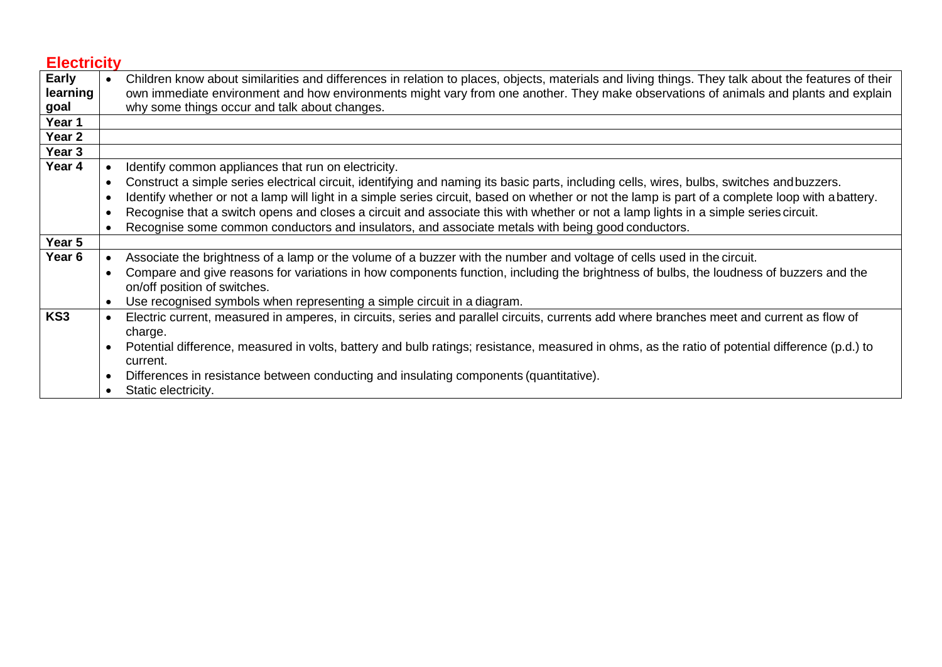| <b>Electricity</b> |           |                                                                                                                                                     |
|--------------------|-----------|-----------------------------------------------------------------------------------------------------------------------------------------------------|
| Early              |           | Children know about similarities and differences in relation to places, objects, materials and living things. They talk about the features of their |
| learning           |           | own immediate environment and how environments might vary from one another. They make observations of animals and plants and explain                |
| goal               |           | why some things occur and talk about changes.                                                                                                       |
| Year 1             |           |                                                                                                                                                     |
| Year <sub>2</sub>  |           |                                                                                                                                                     |
| Year 3             |           |                                                                                                                                                     |
| Year 4             |           | Identify common appliances that run on electricity.                                                                                                 |
|                    |           | Construct a simple series electrical circuit, identifying and naming its basic parts, including cells, wires, bulbs, switches and buzzers.          |
|                    |           | Identify whether or not a lamp will light in a simple series circuit, based on whether or not the lamp is part of a complete loop with a battery.   |
|                    |           | Recognise that a switch opens and closes a circuit and associate this with whether or not a lamp lights in a simple series circuit.                 |
|                    |           | Recognise some common conductors and insulators, and associate metals with being good conductors.                                                   |
| Year 5             |           |                                                                                                                                                     |
| Year <sub>6</sub>  |           | Associate the brightness of a lamp or the volume of a buzzer with the number and voltage of cells used in the circuit.                              |
|                    |           | Compare and give reasons for variations in how components function, including the brightness of bulbs, the loudness of buzzers and the              |
|                    |           | on/off position of switches.                                                                                                                        |
|                    | $\bullet$ | Use recognised symbols when representing a simple circuit in a diagram.                                                                             |
| KS <sub>3</sub>    |           | Electric current, measured in amperes, in circuits, series and parallel circuits, currents add where branches meet and current as flow of           |
|                    |           | charge.                                                                                                                                             |
|                    |           | Potential difference, measured in volts, battery and bulb ratings; resistance, measured in ohms, as the ratio of potential difference (p.d.) to     |
|                    |           | current.                                                                                                                                            |
|                    |           | Differences in resistance between conducting and insulating components (quantitative).                                                              |
|                    |           | Static electricity.                                                                                                                                 |